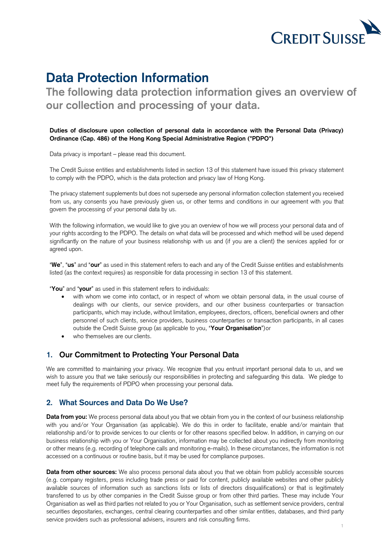

# **Data Protection Information**

**The following data protection information gives an overview of our collection and processing of your data.**

#### **Duties of disclosure upon collection of personal data in accordance with the Personal Data (Privacy) Ordinance (Cap. 486) of the Hong Kong Special Administrative Region ("PDPO")**

Data privacy is important – please read this document.

The Credit Suisse entities and establishments listed in section 13 of this statement have issued this privacy statement to comply with the PDPO, which is the data protection and privacy law of Hong Kong.

The privacy statement supplements but does not supersede any personal information collection statement you received from us, any consents you have previously given us, or other terms and conditions in our agreement with you that govern the processing of your personal data by us.

With the following information, we would like to give you an overview of how we will process your personal data and of your rights according to the PDPO. The details on what data will be processed and which method will be used depend significantly on the nature of your business relationship with us and (if you are a client) the services applied for or agreed upon.

"**We**", "**us**" and "**our**" as used in this statement refers to each and any of the Credit Suisse entities and establishments listed (as the context requires) as responsible for data processing in section 13 of this statement.

"**You**" and "**your**" as used in this statement refers to individuals:

- with whom we come into contact, or in respect of whom we obtain personal data, in the usual course of dealings with our clients, our service providers, and our other business counterparties or transaction participants, which may include, without limitation, employees, directors, officers, beneficial owners and other personnel of such clients, service providers, business counterparties or transaction participants, in all cases outside the Credit Suisse group (as applicable to you, "**Your Organisation**")or
- who themselves are our clients.

## **1. Our Commitment to Protecting Your Personal Data**

We are committed to maintaining your privacy. We recognize that you entrust important personal data to us, and we wish to assure you that we take seriously our responsibilities in protecting and safeguarding this data. We pledge to meet fully the requirements of PDPO when processing your personal data.

## **2. What Sources and Data Do We Use?**

**Data from you:** We process personal data about you that we obtain from you in the context of our business relationship with you and/or Your Organisation (as applicable). We do this in order to facilitate, enable and/or maintain that relationship and/or to provide services to our clients or for other reasons specified below. In addition, in carrying on our business relationship with you or Your Organisation, information may be collected about you indirectly from monitoring or other means (e.g. recording of telephone calls and monitoring e-mails). In these circumstances, the information is not accessed on a continuous or routine basis, but it may be used for compliance purposes.

**Data from other sources:** We also process personal data about you that we obtain from publicly accessible sources (e.g. company registers, press including trade press or paid for content, publicly available websites and other publicly available sources of information such as sanctions lists or lists of directors disqualifications) or that is legitimately transferred to us by other companies in the Credit Suisse group or from other third parties. These may include Your Organisation as well as third parties not related to you or Your Organisation, such as settlement service providers, central securities depositaries, exchanges, central clearing counterparties and other similar entities, databases, and third party service providers such as professional advisers, insurers and risk consulting firms.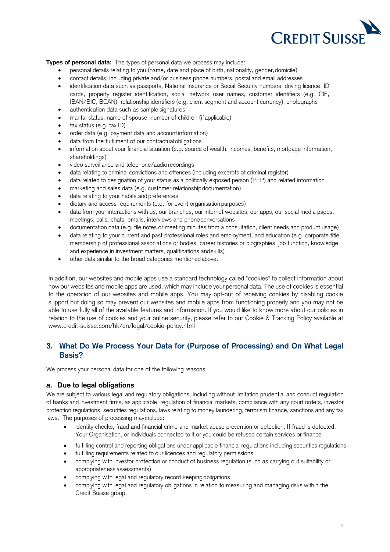

**Types of personal data:** The types of personal data we process may include:

- personal details relating to you (name, date and place of birth, nationality, gender,domicile)
- contact details, including private and/or business phone numbers, postal and email addresses
- identification data such as passports, National Insurance or Social Security numbers, driving licence, ID cards, property register identification, social network user names, customer identifiers (e.g. CIF, IBAN/BIC, BCAN), relationship identifiers (e.g. client segment and account currency), photographs
- authentication data such as sample signatures
- marital status, name of spouse, number of children (ifapplicable)
- tax status (e.g. tax ID)
- order data (e.g. payment data and account information)
- data from the fulfilment of our contractual obligations
- information about your financial situation (e.g. source of wealth, incomes, benefits, mortgage information, shareholdings)
- video surveillance and telephone/audio recordings
- data relating to criminal convictions and offences (including excerpts of criminal register)
- data related to designation of your status as a politically exposed person (PEP) and related information
- marketing and sales data (e.g. customer relationshipdocumentation)
- data relating to your habits and preferences
- dietary and access requirements (e.g. for event organisation purposes)
- data from your interactions with us, our branches, our internet websites, our apps, our social media pages, meetings, calls, chats, emails, interviews and phoneconversations
- documentation data (e.g. file notes or meeting minutes from a consultation, client needs and product usage)
- data relating to your current and past professional roles and employment, and education (e.g. corporate title, membership of professional associations or bodies, career histories or biographies, job function, knowledge and experience in investment matters, qualifications andskills)
- other data similar to the broad categories mentioned above.

In addition, our websites and mobile apps use a standard technology called "cookies" to collect information about how our websites and mobile apps are used, which may include your personal data. The use of cookies is essential to the operation of our websites and mobile apps. You may opt-out of receiving cookies by disabling cookie support but doing so may prevent our websites and mobile apps from functioning properly and you may not be able to use fully all of the available features and information. If you would like to know more about our policies in relation to the use of cookies and your online security, please refer to our Cookie & Tracking Policy available at www.credit-suisse.com/hk/en/legal/cookie-policy.html

## **3. What Do We Process Your Data for (Purpose of Processing) and On What Legal Basis?**

We process your personal data for one of the following reasons.

#### **a. Due to legal obligations**

We are subject to various legal and regulatory obligations, including without limitation prudential and conduct regulation of banks and investment firms, as applicable, regulation of financial markets, compliance with any court orders, investor protection regulations, securities regulations, laws relating to money laundering, terrorism finance, sanctions and any tax laws. The purposes of processing may include:

- identity checks, fraud and financial crime and market abuse prevention or detection. If fraud is detected, Your Organisation, or individuals connected to it or you could be refused certain services or finance
- fulfilling control and reporting obligations under applicable financial regulations including securities regulations
- fulfilling requirements related to our licences and regulatory permissions
- complying with investor protection or conduct of business regulation (such as carrying out suitability or appropriateness assessments)
- complying with legal and regulatory record keeping obligations
- complying with legal and regulatory obligations in relation to measuring and managing risks within the Credit Suisse group.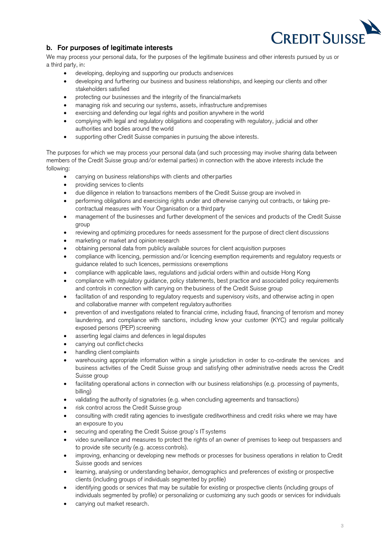

## **b. For purposes of legitimate interests**

We may process your personal data, for the purposes of the legitimate business and other interests pursued by us or a third party, in:

- developing, deploying and supporting our products andservices
- developing and furthering our business and business relationships, and keeping our clients and other stakeholders satisfied
- protecting our businesses and the integrity of the financialmarkets
- managing risk and securing our systems, assets, infrastructure and premises
- exercising and defending our legal rights and position anywhere in the world
- complying with legal and regulatory obligations and cooperating with regulatory, judicial and other authorities and bodies around the world
- supporting other Credit Suisse companies in pursuing the above interests.

The purposes for which we may process your personal data (and such processing may involve sharing data between members of the Credit Suisse group and/or external parties) in connection with the above interests include the following:

- carrying on business relationships with clients and otherparties
- providing services to clients
- due diligence in relation to transactions members of the Credit Suisse group are involved in
- performing obligations and exercising rights under and otherwise carrying out contracts, or taking precontractual measures with Your Organisation or a third party
- management of the businesses and further development of the services and products of the Credit Suisse group
- reviewing and optimizing procedures for needs assessment for the purpose of direct client discussions
- marketing or market and opinion research
- obtaining personal data from publicly available sources for client acquisition purposes
- compliance with licencing, permission and/or licencing exemption requirements and regulatory requests or guidance related to such licences, permissions orexemptions
- compliance with applicable laws, regulations and judicial orders within and outside Hong Kong
- compliance with regulatory guidance, policy statements, best practice and associated policy requirements and controls in connection with carrying on the business of the Credit Suisse group
- facilitation of and responding to regulatory requests and supervisory visits, and otherwise acting in open and collaborative manner with competent regulatory authorities
- prevention of and investigations related to financial crime, including fraud, financing of terrorism and money laundering, and compliance with sanctions, including know your customer (KYC) and regular politically exposed persons (PEP) screening
- asserting legal claims and defences in legal disputes
- carrying out conflict checks
- handling client complaints
- warehousing appropriate information within a single jurisdiction in order to co-ordinate the services and business activities of the Credit Suisse group and satisfying other administrative needs across the Credit Suisse group
- facilitating operational actions in connection with our business relationships (e.g. processing of payments, billing)
- validating the authority of signatories (e.g. when concluding agreements and transactions)
- risk control across the Credit Suisse group
- consulting with credit rating agencies to investigate creditworthiness and credit risks where we may have an exposure to you
- securing and operating the Credit Suisse group's IT systems
- video surveillance and measures to protect the rights of an owner of premises to keep out trespassers and to provide site security (e.g. access controls).
- improving, enhancing or developing new methods or processes for business operations in relation to Credit Suisse goods and services
- learning, analysing or understanding behavior, demographics and preferences of existing or prospective clients (including groups of individuals segmented by profile)
- identifying goods or services that may be suitable for existing or prospective clients (including groups of individuals segmented by profile) or personalizing or customizing any such goods or services for individuals
- carrying out market research.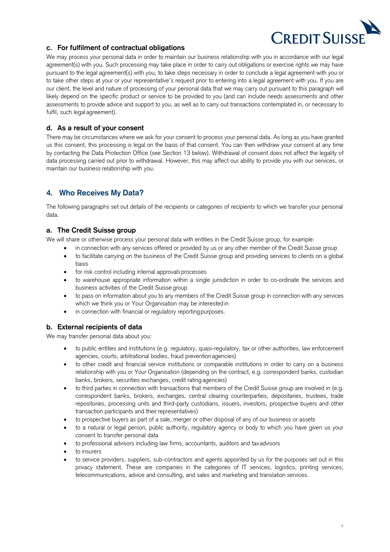

## **c. For fulfilment of contractual obligations**

We may process your personal data in order to maintain our business relationship with you in accordance with our legal agreement(s) with you. Such processing may take place in order to carry out obligations or exercise rights we may have pursuant to the legal agreement(s) with you, to take steps necessary in order to conclude a legal agreement with you or to take other steps at your or your representative's request prior to entering into a legal agreement with you. If you are our client, the level and nature of processing of your personal data that we may carry out pursuant to this paragraph will likely depend on the specific product or service to be provided to you (and can include needs assessments and other assessments to provide advice and support to you, as well as to carry out transactions contemplated in, or necessary to fulfil, such legal agreement).

#### **d. As a result of your consent**

There may be circumstances where we ask for your consent to process your personal data. As long as you have granted us this consent, this processing is legal on the basis of that consent. You can then withdraw your consent at any time by contacting the Data Protection Office (see Section 13 below). Withdrawal of consent does not affect the legality of data processing carried out prior to withdrawal. However, this may affect our ability to provide you with our services, or maintain our business relationship with you.

## **4. Who Receives My Data?**

The following paragraphs set out details of the recipients or categories of recipients to which we transfer your personal data.

#### **a. The Credit Suisse group**

We will share or otherwise process your personal data with entities in the Credit Suisse group, for example:

- in connection with any services offered or provided by us or any other member of the Credit Suisse group
- to facilitate carrying on the business of the Credit Suisse group and providing services to clients on a global basis
- for risk control including internal approvals processes
- to warehouse appropriate information within a single jurisdiction in order to co-ordinate the services and business activities of the Credit Suisse group
- to pass on information about you to any members of the Credit Suisse group in connection with any services which we think you or Your Organisation may be interested in
- in connection with financial or regulatory reporting purposes.

#### **b. External recipients of data**

We may transfer personal data about you:

- to public entities and institutions (e.g. regulatory, quasi-regulatory, tax or other authorities, law enforcement agencies, courts, arbitrational bodies, fraud prevention agencies)
- to other credit and financial service institutions or comparable institutions in order to carry on a business relationship with you or Your Organisation (depending on the contract, e.g. correspondent banks, custodian banks, brokers, securities exchanges, credit rating agencies)
- to third parties in connection with transactions that members of the Credit Suisse group are involved in (e.g. correspondent banks, brokers, exchanges, central clearing counterparties, depositaries, trustees, trade repositories, processing units and third-party custodians, issuers, investors, prospective buyers and other transaction participants and their representatives)
- to prospective buyers as part of a sale, merger or other disposal of any of our business or assets
- to a natural or legal person, public authority, regulatory agency or body to which you have given us your consent to transfer personal data
- to professional advisors including law firms, accountants, auditors and taxadvisors
- to insurers
- to service providers, suppliers, sub-contractors and agents appointed by us for the purposes set out in this privacy statement. These are companies in the categories of IT services, logistics, printing services, telecommunications, advice and consulting, and sales and marketing and translation services.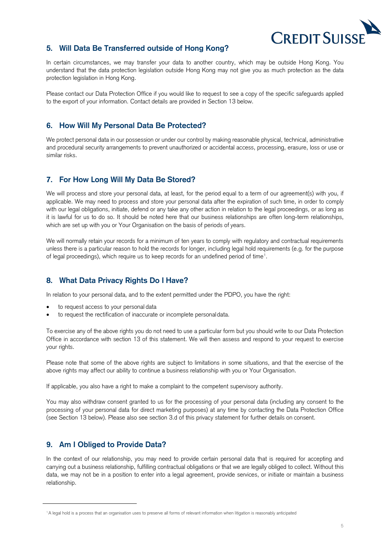

## **5. Will Data Be Transferred outside of Hong Kong?**

In certain circumstances, we may transfer your data to another country, which may be outside Hong Kong. You understand that the data protection legislation outside Hong Kong may not give you as much protection as the data protection legislation in Hong Kong.

Please contact our Data Protection Office if you would like to request to see a copy of the specific safeguards applied to the export of your information. Contact details are provided in Section 13 below.

## **6. How Will My Personal Data Be Protected?**

We protect personal data in our possession or under our control by making reasonable physical, technical, administrative and procedural security arrangements to prevent unauthorized or accidental access, processing, erasure, loss or use or similar risks.

## **7. For How Long Will My Data Be Stored?**

We will process and store your personal data, at least, for the period equal to a term of our agreement(s) with you, if applicable. We may need to process and store your personal data after the expiration of such time, in order to comply with our legal obligations, initiate, defend or any take any other action in relation to the legal proceedings, or as long as it is lawful for us to do so. It should be noted here that our business relationships are often long-term relationships, which are set up with you or Your Organisation on the basis of periods of years.

We will normally retain your records for a minimum of ten years to comply with regulatory and contractual requirements unless there is a particular reason to hold the records for longer, including legal hold requirements (e.g. for the purpose of legal proceedings), which require us to keep records for an undefined period of time $^{\rm 1}.$  $^{\rm 1}.$  $^{\rm 1}.$ 

## **8. What Data Privacy Rights Do I Have?**

In relation to your personal data, and to the extent permitted under the PDPO, you have the right:

- to request access to your personal data
- to request the rectification of inaccurate or incomplete personaldata.

To exercise any of the above rights you do not need to use a particular form but you should write to our Data Protection Office in accordance with section 13 of this statement. We will then assess and respond to your request to exercise your rights.

Please note that some of the above rights are subject to limitations in some situations, and that the exercise of the above rights may affect our ability to continue a business relationship with you or Your Organisation.

If applicable, you also have a right to make a complaint to the competent supervisory authority.

You may also withdraw consent granted to us for the processing of your personal data (including any consent to the processing of your personal data for direct marketing purposes) at any time by contacting the Data Protection Office (see Section 13 below). Please also see section 3.d of this privacy statement for further details on consent.

## **9. Am I Obliged to Provide Data?**

In the context of our relationship, you may need to provide certain personal data that is required for accepting and carrying out a business relationship, fulfilling contractual obligations or that we are legally obliged to collect. Without this data, we may not be in a position to enter into a legal agreement, provide services, or initiate or maintain a business relationship.

<span id="page-4-0"></span><sup>1</sup>A legal hold is a process that an organisation uses to preserve all forms of relevant information when litigation is reasonably anticipated